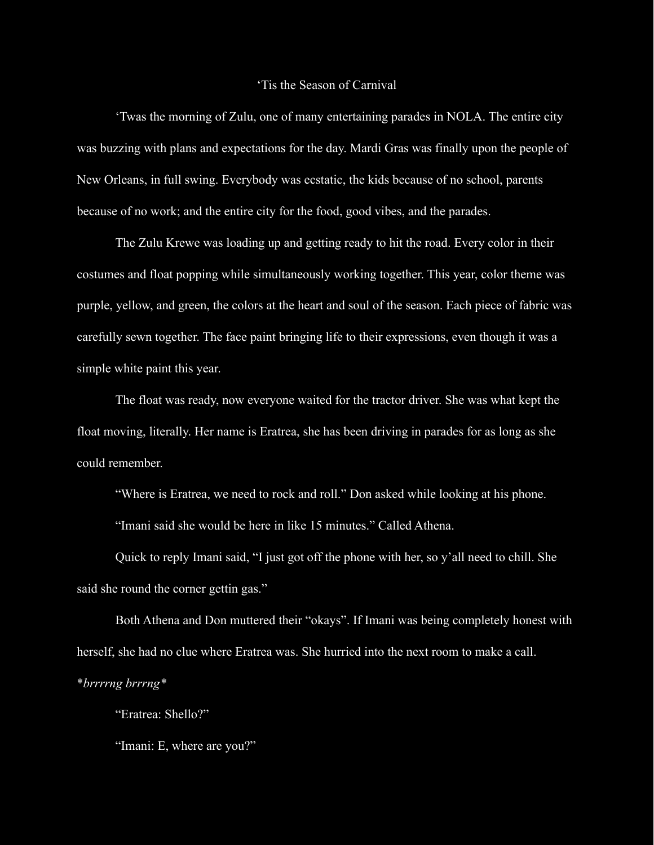## 'Tis the Season of Carnival

'Twas the morning of Zulu, one of many entertaining parades in NOLA. The entire city was buzzing with plans and expectations for the day. Mardi Gras was finally upon the people of New Orleans, in full swing. Everybody was ecstatic, the kids because of no school, parents because of no work; and the entire city for the food, good vibes, and the parades.

The Zulu Krewe was loading up and getting ready to hit the road. Every color in their costumes and float popping while simultaneously working together. This year, color theme was purple, yellow, and green, the colors at the heart and soul of the season. Each piece of fabric was carefully sewn together. The face paint bringing life to their expressions, even though it was a simple white paint this year.

The float was ready, now everyone waited for the tractor driver. She was what kept the float moving, literally. Her name is Eratrea, she has been driving in parades for as long as she could remember.

"Where is Eratrea, we need to rock and roll." Don asked while looking at his phone.

"Imani said she would be here in like 15 minutes." Called Athena.

Quick to reply Imani said, "I just got off the phone with her, so y'all need to chill. She said she round the corner gettin gas."

Both Athena and Don muttered their "okays". If Imani was being completely honest with herself, she had no clue where Eratrea was. She hurried into the next room to make a call.

\**brrrrng brrrng\**

"Eratrea: Shello?"

"Imani: E, where are you?"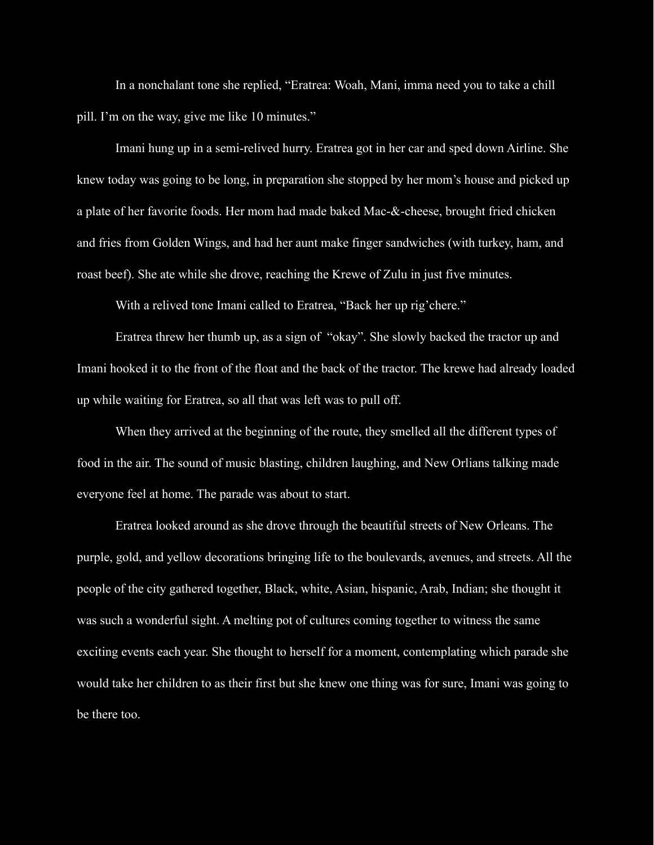In a nonchalant tone she replied, "Eratrea: Woah, Mani, imma need you to take a chill pill. I'm on the way, give me like 10 minutes."

Imani hung up in a semi-relived hurry. Eratrea got in her car and sped down Airline. She knew today was going to be long, in preparation she stopped by her mom's house and picked up a plate of her favorite foods. Her mom had made baked Mac-&-cheese, brought fried chicken and fries from Golden Wings, and had her aunt make finger sandwiches (with turkey, ham, and roast beef). She ate while she drove, reaching the Krewe of Zulu in just five minutes.

With a relived tone Imani called to Eratrea, "Back her up rig'chere."

Eratrea threw her thumb up, as a sign of "okay". She slowly backed the tractor up and Imani hooked it to the front of the float and the back of the tractor. The krewe had already loaded up while waiting for Eratrea, so all that was left was to pull off.

When they arrived at the beginning of the route, they smelled all the different types of food in the air. The sound of music blasting, children laughing, and New Orlians talking made everyone feel at home. The parade was about to start.

Eratrea looked around as she drove through the beautiful streets of New Orleans. The purple, gold, and yellow decorations bringing life to the boulevards, avenues, and streets. All the people of the city gathered together, Black, white, Asian, hispanic, Arab, Indian; she thought it was such a wonderful sight. A melting pot of cultures coming together to witness the same exciting events each year. She thought to herself for a moment, contemplating which parade she would take her children to as their first but she knew one thing was for sure, Imani was going to be there too.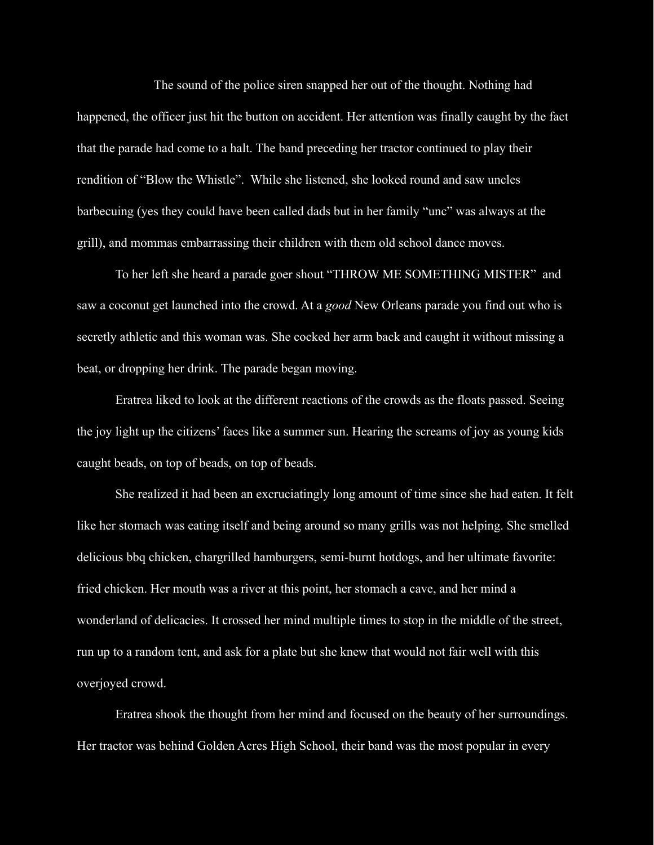The sound of the police siren snapped her out of the thought. Nothing had happened, the officer just hit the button on accident. Her attention was finally caught by the fact that the parade had come to a halt. The band preceding her tractor continued to play their rendition of "Blow the Whistle". While she listened, she looked round and saw uncles barbecuing (yes they could have been called dads but in her family "unc" was always at the grill), and mommas embarrassing their children with them old school dance moves.

To her left she heard a parade goer shout "THROW ME SOMETHING MISTER" and saw a coconut get launched into the crowd. At a *good* New Orleans parade you find out who is secretly athletic and this woman was. She cocked her arm back and caught it without missing a beat, or dropping her drink. The parade began moving.

Eratrea liked to look at the different reactions of the crowds as the floats passed. Seeing the joy light up the citizens' faces like a summer sun. Hearing the screams of joy as young kids caught beads, on top of beads, on top of beads.

She realized it had been an excruciatingly long amount of time since she had eaten. It felt like her stomach was eating itself and being around so many grills was not helping. She smelled delicious bbq chicken, chargrilled hamburgers, semi-burnt hotdogs, and her ultimate favorite: fried chicken. Her mouth was a river at this point, her stomach a cave, and her mind a wonderland of delicacies. It crossed her mind multiple times to stop in the middle of the street, run up to a random tent, and ask for a plate but she knew that would not fair well with this overjoyed crowd.

Eratrea shook the thought from her mind and focused on the beauty of her surroundings. Her tractor was behind Golden Acres High School, their band was the most popular in every